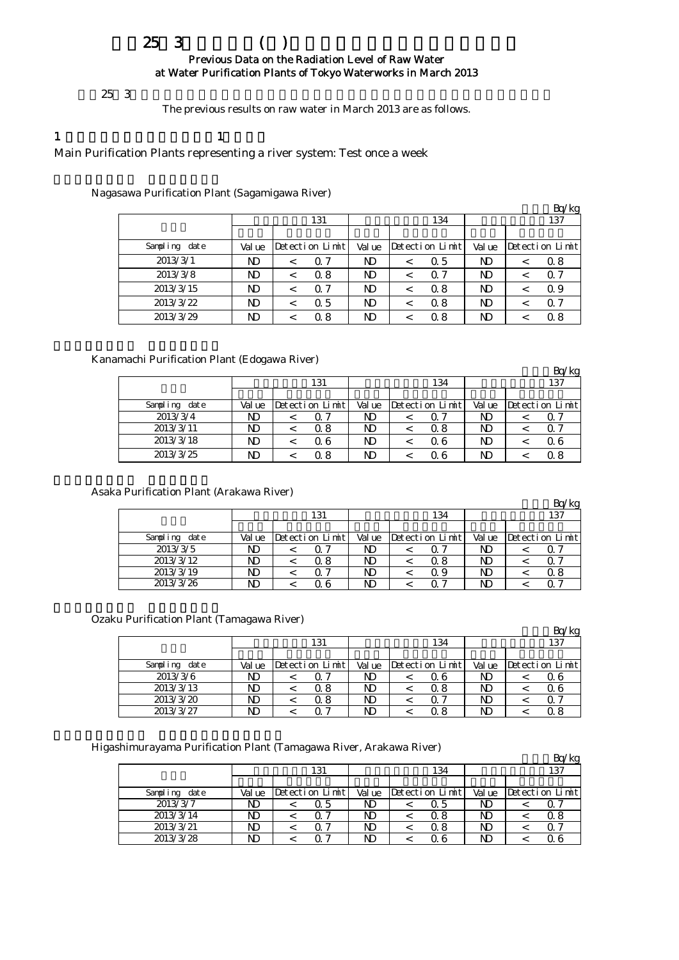## $253$  ( ) Previous Data on the Radiation Level of Raw Water at Water Purification Plants of Tokyo Waterworks in March 2013

 $253$ 

The previous results on raw water in March 2013 are as follows.

1  $\qquad \qquad$  1

Main Purification Plants representing a river system: Test once a week

Nagasawa Purification Plant (Sagamigawa River)

|               |        |  |                 |        |   |                  |        | Bq/kg           |
|---------------|--------|--|-----------------|--------|---|------------------|--------|-----------------|
|               | 131    |  |                 |        |   | 134              |        | 137             |
|               |        |  |                 |        |   |                  |        |                 |
| Sampling date | Val ue |  | Detection Limit | Val ue |   | Detection Limith | Val ue | Detection Limit |
| 2013/3/1      | ND     |  | 0.7             | ND     | ✓ | 0.5              | ND     | 0.8             |
| 2013/3/8      | ND     |  | 0.8             | N)     | < | 0.7              | ND     | 0.7             |
| 2013/3/15     | ND     |  | 0.7             | N)     | ≺ | 0.8              | ND     | Q 9             |
| 2013/3/22     | ND     |  | 0.5             | N)     | ╭ | 0.8              | ND     | Q 7             |
| 2013/3/29     | ND     |  | 0.8             | ND     |   | Q 8              | ND     | 0.8             |

Kanamachi Purification Plant (Edogawa River)

|               |        |                 |        |                 |        | Bq/kg           |  |  |
|---------------|--------|-----------------|--------|-----------------|--------|-----------------|--|--|
|               |        | 131             |        | 134             | 137    |                 |  |  |
|               |        |                 |        |                 |        |                 |  |  |
| Sampling date | Val ue | Detection Limit | Val ue | Detection Limit | Val ue | Detection Limit |  |  |
| 2013/3/4      | ND     | Q 7             | ND     | ი 7             | ND     | $\alpha$ $\sim$ |  |  |
| 2013/3/11     | ND     | Q 8             | ND     | Q 8             | ND     | 0 <sup>7</sup>  |  |  |
| 2013/3/18     | ND     | Q 6             | ND     | 0.6             | ND     | 06              |  |  |
| 2013/3/25     | ND     | 0 8             | ND     | 0 G             | ND     | 0.8             |  |  |

Asaka Purification Plant (Arakawa River)

|               |        |                 |        |                 |        |  | kg              |  |
|---------------|--------|-----------------|--------|-----------------|--------|--|-----------------|--|
|               |        | 131             |        | 134             | 137    |  |                 |  |
|               |        |                 |        |                 |        |  |                 |  |
| Sampling date | Val ue | Detection Limit | Val ue | Detection Limit | Val ue |  | Detection Limit |  |
| 2013/3/5      | ND     |                 | ND     | ი 7             | ND     |  |                 |  |
| 2013/3/12     | ND     | Ω8              | ND     | 0. 8            | ND     |  | ∩               |  |
| 2013/3/19     | ND     |                 | ND     | Ο9              | ND     |  | 0 8             |  |
| 2013/3/26     | ND     |                 |        |                 |        |  |                 |  |

Ozaku Purification Plant (Tamagawa River)

| $\alpha$ . $\alpha$ . The decret $\alpha$ is the second part of $\alpha$ in $\alpha$ is $\alpha$ if $\alpha$ |        |                 |        |                   |        |  | ′kg             |  |
|--------------------------------------------------------------------------------------------------------------|--------|-----------------|--------|-------------------|--------|--|-----------------|--|
|                                                                                                              |        | 131             |        | 134               | 137    |  |                 |  |
|                                                                                                              |        |                 |        |                   |        |  |                 |  |
| Sampling date                                                                                                | Val ue | Detection Limit | Val ue | $Detection$ Limit | Val ue |  | Detection Limit |  |
| 2013/3/6                                                                                                     | ND     |                 | ND     | Q 6               | ND     |  | Q 6             |  |
| 2013/3/13                                                                                                    | ND     | Ω8              | ND     | Ω8                | ND     |  | Q 6             |  |
| 2013/3/20                                                                                                    | ND     | Q 8             | ND     | ი 7               | ND     |  | Q 7             |  |
| 2013/3/27                                                                                                    | ND     |                 | ND     | 0. 8              | ND     |  | Q 8             |  |

Higashimurayama Purification Plant (Tamagawa River, Arakawa River)

| янніці аўаніа і  агнісасібн і  іанс (таніаgама тегуст, 7 н акама тегуст) |       |                 |        |                 |        |     | ′kg             |
|--------------------------------------------------------------------------|-------|-----------------|--------|-----------------|--------|-----|-----------------|
|                                                                          |       | 131             |        | 134             |        | 137 |                 |
|                                                                          |       |                 |        |                 |        |     |                 |
| Sampling<br>date                                                         | Value | Detection Limit | Val ue | Detection Limit | Val ue |     | Detection Limit |
| 2013/3/7                                                                 | ND    | 05              | ND     | Q 5             | ND     |     |                 |
| 2013/3/14                                                                | ND    |                 | ND     | Q 8             | ND     |     | Ω8              |
| 2013/3/21                                                                | ND    | 0 '             | ND     | 0. 8            | ND     |     |                 |
| 2013/3/28                                                                | ND    |                 | ND     | ი 6             | ND     |     | 0 G             |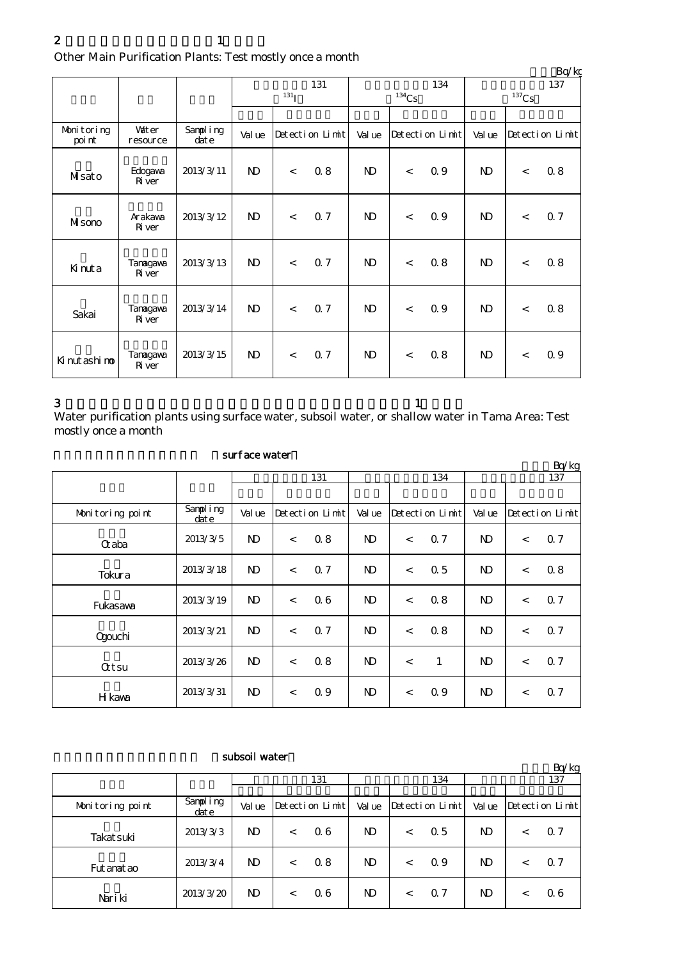|                      |                           |                   |              |            |                 |                     |                          |                 |              |         | Bq/kg           |  |
|----------------------|---------------------------|-------------------|--------------|------------|-----------------|---------------------|--------------------------|-----------------|--------------|---------|-----------------|--|
|                      |                           |                   |              |            | 131             |                     |                          | 134             | 137          |         |                 |  |
|                      |                           |                   |              | $^{131}$ I |                 | $^{134}\mathrm{Cs}$ |                          |                 | $137$ Cs     |         |                 |  |
|                      |                           |                   |              |            |                 |                     |                          |                 |              |         |                 |  |
| Monitoring<br>poi nt | <b>Vater</b><br>resource  | Sampling<br>dat e | Val ue       |            | Detection Limit | Val ue              |                          | Detection Limit | Val ue       |         | Detection Limit |  |
| Misato               | Edogava<br><b>R</b> iver  | 2013/3/11         | $\mathbf{D}$ | $\lt$      | 0.8             | $\mathbf{D}$        | $\lt$                    | 0.9             | $\mathbf{D}$ | $\lt$   | 0.8             |  |
| Misono               | Arakawa<br><b>R</b> iver  | 2013/3/12         | $\mathbf{D}$ | $\,<\,$    | 0.7             | $\mathbf{N}$        | $\overline{\phantom{a}}$ | 0.9             | $\mathbf{D}$ | $\lt$   | 0.7             |  |
| Kinuta               | Tanagawa<br><b>R</b> iver | 2013/3/13         | $\mathbf{D}$ | $\lt$      | 0.7             | $\mathbf{N}$        | $\,<\,$                  | 0.8             | $\mathbf{D}$ | $\lt$   | 0.8             |  |
| Sakai                | Tanagawa<br><b>R</b> iver | 2013/3/14         | $\mathbf{N}$ | $\lt$      | 0.7             | $\mathbf{N}$        | $\overline{\phantom{a}}$ | 0.9             | $\mathbf{N}$ | $\,<\,$ | 0.8             |  |
| Ki nut ashi no       | Tanagawa<br><b>R</b> iver | 2013/3/15         | $\mathbf{N}$ | $\lt$      | 0.7             | $\mathbf{N}$        | $\lt$                    | 0.8             | $\mathbf{N}$ | $\,<$   | 0.9             |  |

 $3$  and  $1$ Water purification plants using surface water, subsoil water, or shallow water in Tama Area: Test mostly once a month

|                  |                   |                |                          |                 |                |         |                 |                |         | Bq/kg           |
|------------------|-------------------|----------------|--------------------------|-----------------|----------------|---------|-----------------|----------------|---------|-----------------|
|                  |                   |                |                          | 131             |                |         | 134             | 137            |         |                 |
|                  |                   |                |                          |                 |                |         |                 |                |         |                 |
| Monitoring point | Sampling<br>dat e | Val ue         |                          | Detection Limit | Val ue         |         | Detection Limit | Val ue         |         | Detection Limit |
| $\alpha$ aba     | 2013/3/5          | $\mathbf{D}$   | $\lt$                    | 0.8             | N <sub>D</sub> | $\lt$   | 0.7             | N <sub>D</sub> | $\lt$   | Q 7             |
| Tokura           | 2013/3/18         | N <sub>D</sub> | $\overline{\phantom{a}}$ | 0.7             | $\mathbf{D}$   | $\lt$   | 0.5             | $\mathbf{N}$   | $\lt$   | 08              |
| Fukasawa         | 2013/3/19         | ND.            | $\lt$                    | 06              | ND.            | $\lt$   | 0.8             | N <sub>D</sub> | $\lt$   | 07              |
| Qgouchi          | 2013/3/21         | N <sub>D</sub> | $\lt$                    | 0.7             | $\mathbf{D}$   | $\lt$   | 0.8             | $\mathbf{N}$   | $\,<\,$ | 0.7             |
| <b>Qtsu</b>      | 2013/3/26         | $\mathbf{D}$   | $\lt$                    | 0.8             | N <sub>D</sub> | $\lt$   | 1               | $\mathbf{N}$   | $\lt$   | 0.7             |
| H kava           | 2013/3/31         | $\mathbf{N}$   | $\,<$                    | 0.9             | N <sub>D</sub> | $\,<\,$ | 0.9             | $\mathbf{N}$   | $\,<\,$ | 0.7             |

## subsoil water

|                  |                      | ,,,,,,,,,,,,,,, |         |                 |        |         |                  |                |         | Bq/kg          |
|------------------|----------------------|-----------------|---------|-----------------|--------|---------|------------------|----------------|---------|----------------|
|                  |                      | 131             |         |                 | 134    |         |                  | 137            |         |                |
|                  |                      |                 |         |                 |        |         |                  |                |         |                |
| Monitoring point | Simplifying<br>dat e | Val ue          |         | Detection Limit | Val ue |         | lDetection Limit | Val ue         |         |                |
| Takat suki       | 2013/3/3             | ND.             | <       | 06              | ND.    | $\,<\,$ | 0.5              | ND.            | $\,<\,$ | 0.7            |
| Fut anat ao      | 2013/3/4             | ND              | <       | 0.8             | ND.    | $\,<\,$ | 0.9              | N <sub>D</sub> | $\,<\,$ | Q <sub>7</sub> |
| Nari ki          | 2013/3/20            | ND.             | $\,<\,$ | 06              | ND.    | $\,<\,$ | 0.7              | ND             | $\,<\,$ | 06             |

# surface water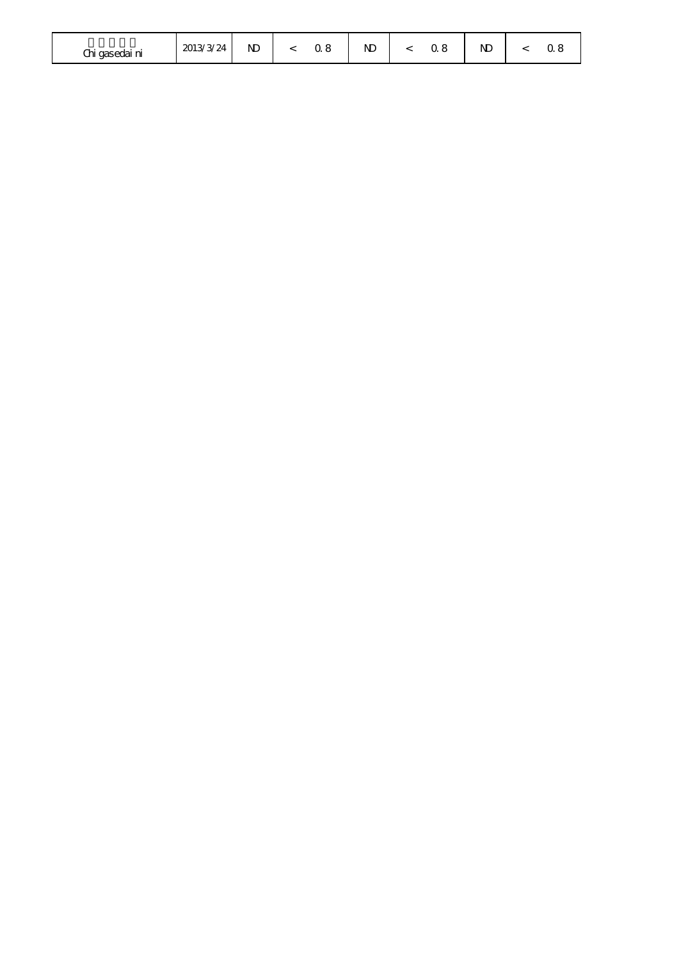| Chi gasedai ni | 2013/3/24 | N <sub>D</sub> |  |  | N <sub>D</sub> |  |  | ND<br>the contract of the contract of |  |  |
|----------------|-----------|----------------|--|--|----------------|--|--|---------------------------------------|--|--|
|----------------|-----------|----------------|--|--|----------------|--|--|---------------------------------------|--|--|